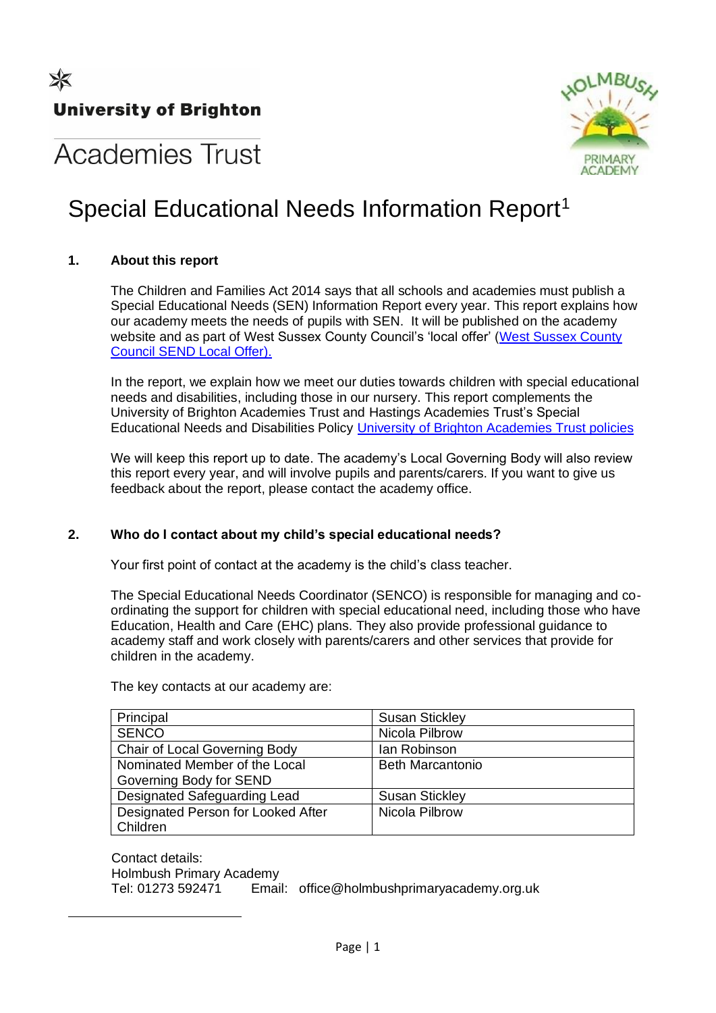

# **Academies Trust**

# Special Educational Needs Information Report<sup>1</sup>

# **1. About this report**

The Children and Families Act 2014 says that all schools and academies must publish a Special Educational Needs (SEN) Information Report every year. This report explains how our academy meets the needs of pupils with SEN. It will be published on the academy website and as part of West Sussex County Council's 'local offer' [\(West Sussex County](https://www.westsussex.gov.uk/education-children-and-families/special-educational-needs-and-disability-send/send-local-offer/)  [Council SEND Local Offer\)](https://www.westsussex.gov.uk/education-children-and-families/special-educational-needs-and-disability-send/send-local-offer/).

In the report, we explain how we meet our duties towards children with special educational needs and disabilities, including those in our nursery. This report complements the University of Brighton Academies Trust and Hastings Academies Trust's Special Educational Needs and Disabilities Policy [University of Brighton Academies Trust policies](https://www.brighton.ac.uk/academiestrust/how-we-work/our-policies/index.aspx)

We will keep this report up to date. The academy's Local Governing Body will also review this report every year, and will involve pupils and parents/carers. If you want to give us feedback about the report, please contact the academy office.

# **2. Who do I contact about my child's special educational needs?**

Your first point of contact at the academy is the child's class teacher.

The Special Educational Needs Coordinator (SENCO) is responsible for managing and coordinating the support for children with special educational need, including those who have Education, Health and Care (EHC) plans. They also provide professional guidance to academy staff and work closely with parents/carers and other services that provide for children in the academy.

The key contacts at our academy are:

| Principal                          | <b>Susan Stickley</b>   |
|------------------------------------|-------------------------|
| <b>SENCO</b>                       | Nicola Pilbrow          |
| Chair of Local Governing Body      | lan Robinson            |
| Nominated Member of the Local      | <b>Beth Marcantonio</b> |
| Governing Body for SEND            |                         |
| Designated Safeguarding Lead       | <b>Susan Stickley</b>   |
| Designated Person for Looked After | Nicola Pilbrow          |
| Children                           |                         |

Contact details: Holmbush Primary Academy Tel: 01273 592471 Email: office@holmbushprimaryacademy.org.uk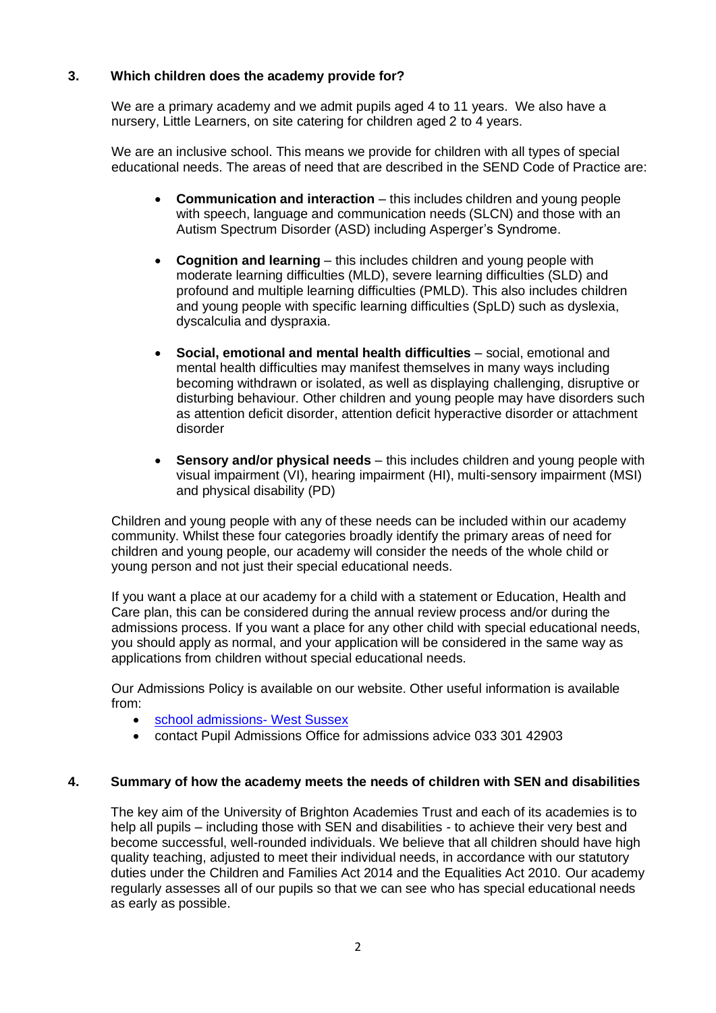# **3. Which children does the academy provide for?**

We are a primary academy and we admit pupils aged 4 to 11 years. We also have a nursery, Little Learners, on site catering for children aged 2 to 4 years.

We are an inclusive school. This means we provide for children with all types of special educational needs. The areas of need that are described in the SEND Code of Practice are:

- **Communication and interaction** this includes children and young people with speech, language and communication needs (SLCN) and those with an Autism Spectrum Disorder (ASD) including Asperger's Syndrome.
- **Cognition and learning** this includes children and young people with moderate learning difficulties (MLD), severe learning difficulties (SLD) and profound and multiple learning difficulties (PMLD). This also includes children and young people with specific learning difficulties (SpLD) such as dyslexia, dyscalculia and dyspraxia.
- **Social, emotional and mental health difficulties** social, emotional and mental health difficulties may manifest themselves in many ways including becoming withdrawn or isolated, as well as displaying challenging, disruptive or disturbing behaviour. Other children and young people may have disorders such as attention deficit disorder, attention deficit hyperactive disorder or attachment disorder
- **Sensory and/or physical needs** this includes children and young people with visual impairment (VI), hearing impairment (HI), multi-sensory impairment (MSI) and physical disability (PD)

Children and young people with any of these needs can be included within our academy community. Whilst these four categories broadly identify the primary areas of need for children and young people, our academy will consider the needs of the whole child or young person and not just their special educational needs.

If you want a place at our academy for a child with a statement or Education, Health and Care plan, this can be considered during the annual review process and/or during the admissions process. If you want a place for any other child with special educational needs, you should apply as normal, and your application will be considered in the same way as applications from children without special educational needs.

Our Admissions Policy is available on our website. Other useful information is available from:

- [school admissions-](https://www.westsussex.gov.uk/education-children-and-families/schools-and-colleges/school-places/) West Sussex
- contact Pupil Admissions Office for admissions advice 033 301 42903

#### **4. Summary of how the academy meets the needs of children with SEN and disabilities**

The key aim of the University of Brighton Academies Trust and each of its academies is to help all pupils – including those with SEN and disabilities - to achieve their very best and become successful, well-rounded individuals. We believe that all children should have high quality teaching, adjusted to meet their individual needs, in accordance with our statutory duties under the Children and Families Act 2014 and the Equalities Act 2010. Our academy regularly assesses all of our pupils so that we can see who has special educational needs as early as possible.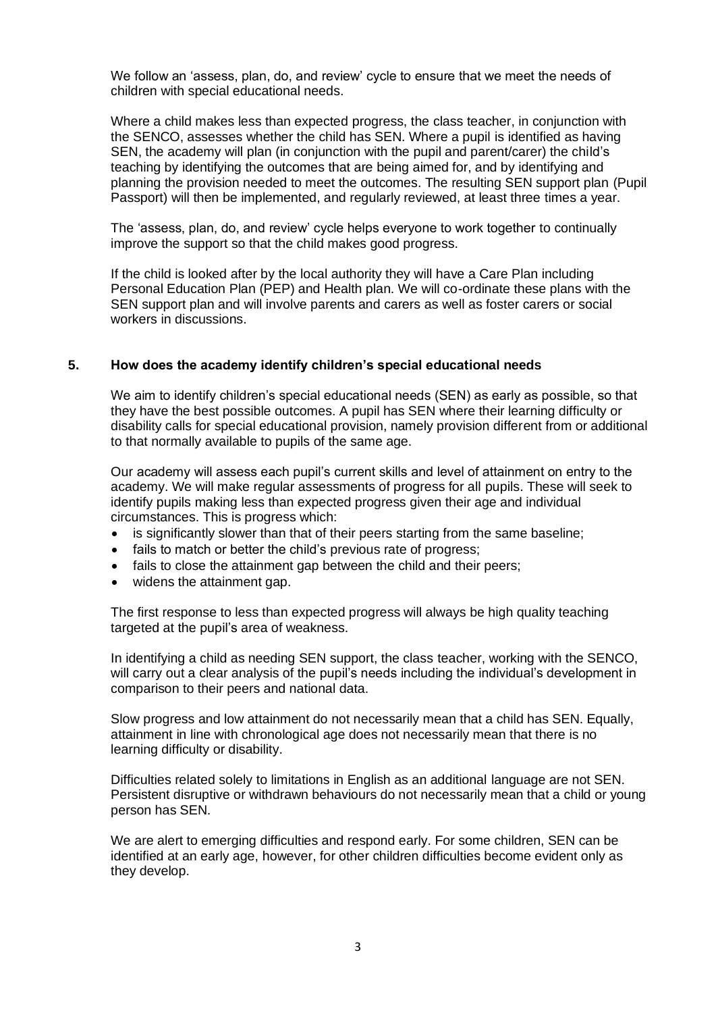We follow an 'assess, plan, do, and review' cycle to ensure that we meet the needs of children with special educational needs.

Where a child makes less than expected progress, the class teacher, in conjunction with the SENCO, assesses whether the child has SEN. Where a pupil is identified as having SEN, the academy will plan (in conjunction with the pupil and parent/carer) the child's teaching by identifying the outcomes that are being aimed for, and by identifying and planning the provision needed to meet the outcomes. The resulting SEN support plan (Pupil Passport) will then be implemented, and regularly reviewed, at least three times a year.

The 'assess, plan, do, and review' cycle helps everyone to work together to continually improve the support so that the child makes good progress.

If the child is looked after by the local authority they will have a Care Plan including Personal Education Plan (PEP) and Health plan. We will co-ordinate these plans with the SEN support plan and will involve parents and carers as well as foster carers or social workers in discussions.

#### **5. How does the academy identify children's special educational needs**

We aim to identify children's special educational needs (SEN) as early as possible, so that they have the best possible outcomes. A pupil has SEN where their learning difficulty or disability calls for special educational provision, namely provision different from or additional to that normally available to pupils of the same age.

Our academy will assess each pupil's current skills and level of attainment on entry to the academy. We will make regular assessments of progress for all pupils. These will seek to identify pupils making less than expected progress given their age and individual circumstances. This is progress which:

- is significantly slower than that of their peers starting from the same baseline;
- fails to match or better the child's previous rate of progress:
- fails to close the attainment gap between the child and their peers:
- widens the attainment gap.

The first response to less than expected progress will always be high quality teaching targeted at the pupil's area of weakness.

In identifying a child as needing SEN support, the class teacher, working with the SENCO, will carry out a clear analysis of the pupil's needs including the individual's development in comparison to their peers and national data.

Slow progress and low attainment do not necessarily mean that a child has SEN. Equally, attainment in line with chronological age does not necessarily mean that there is no learning difficulty or disability.

Difficulties related solely to limitations in English as an additional language are not SEN. Persistent disruptive or withdrawn behaviours do not necessarily mean that a child or young person has SEN.

We are alert to emerging difficulties and respond early. For some children, SEN can be identified at an early age, however, for other children difficulties become evident only as they develop.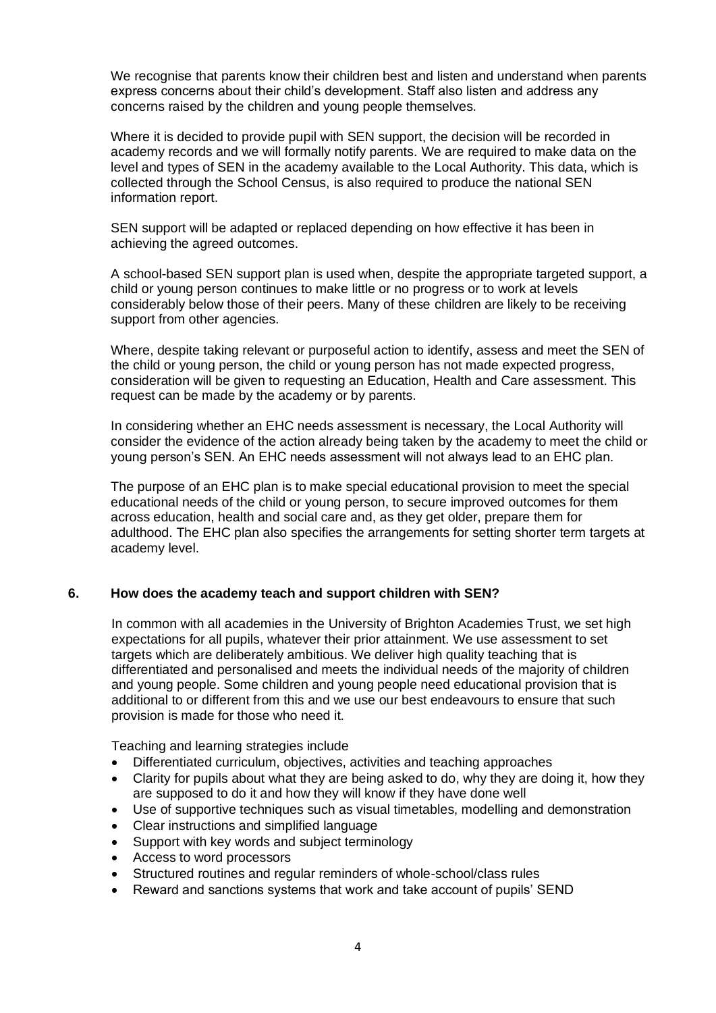We recognise that parents know their children best and listen and understand when parents express concerns about their child's development. Staff also listen and address any concerns raised by the children and young people themselves.

Where it is decided to provide pupil with SEN support, the decision will be recorded in academy records and we will formally notify parents. We are required to make data on the level and types of SEN in the academy available to the Local Authority. This data, which is collected through the School Census, is also required to produce the national SEN information report.

SEN support will be adapted or replaced depending on how effective it has been in achieving the agreed outcomes.

A school-based SEN support plan is used when, despite the appropriate targeted support, a child or young person continues to make little or no progress or to work at levels considerably below those of their peers. Many of these children are likely to be receiving support from other agencies.

Where, despite taking relevant or purposeful action to identify, assess and meet the SEN of the child or young person, the child or young person has not made expected progress, consideration will be given to requesting an Education, Health and Care assessment. This request can be made by the academy or by parents.

In considering whether an EHC needs assessment is necessary, the Local Authority will consider the evidence of the action already being taken by the academy to meet the child or young person's SEN. An EHC needs assessment will not always lead to an EHC plan.

The purpose of an EHC plan is to make special educational provision to meet the special educational needs of the child or young person, to secure improved outcomes for them across education, health and social care and, as they get older, prepare them for adulthood. The EHC plan also specifies the arrangements for setting shorter term targets at academy level.

#### **6. How does the academy teach and support children with SEN?**

In common with all academies in the University of Brighton Academies Trust, we set high expectations for all pupils, whatever their prior attainment. We use assessment to set targets which are deliberately ambitious. We deliver high quality teaching that is differentiated and personalised and meets the individual needs of the majority of children and young people. Some children and young people need educational provision that is additional to or different from this and we use our best endeavours to ensure that such provision is made for those who need it.

Teaching and learning strategies include

- Differentiated curriculum, objectives, activities and teaching approaches
- Clarity for pupils about what they are being asked to do, why they are doing it, how they are supposed to do it and how they will know if they have done well
- Use of supportive techniques such as visual timetables, modelling and demonstration
- Clear instructions and simplified language
- Support with key words and subject terminology
- Access to word processors
- Structured routines and regular reminders of whole-school/class rules
- Reward and sanctions systems that work and take account of pupils' SEND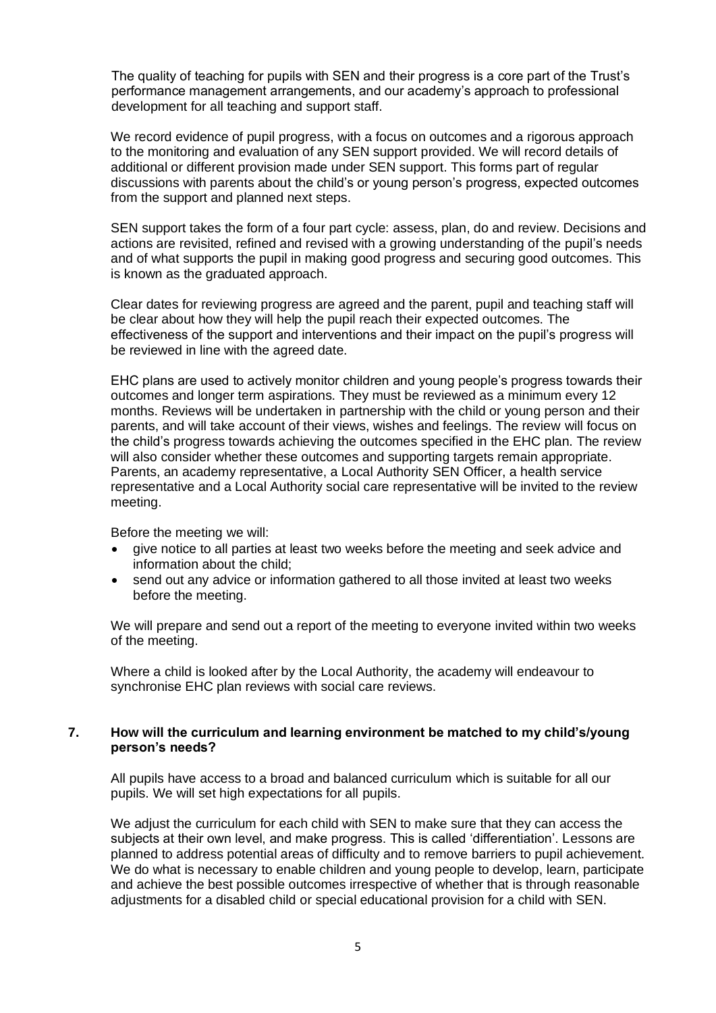The quality of teaching for pupils with SEN and their progress is a core part of the Trust's performance management arrangements, and our academy's approach to professional development for all teaching and support staff.

We record evidence of pupil progress, with a focus on outcomes and a rigorous approach to the monitoring and evaluation of any SEN support provided. We will record details of additional or different provision made under SEN support. This forms part of regular discussions with parents about the child's or young person's progress, expected outcomes from the support and planned next steps.

SEN support takes the form of a four part cycle: assess, plan, do and review. Decisions and actions are revisited, refined and revised with a growing understanding of the pupil's needs and of what supports the pupil in making good progress and securing good outcomes. This is known as the graduated approach.

Clear dates for reviewing progress are agreed and the parent, pupil and teaching staff will be clear about how they will help the pupil reach their expected outcomes. The effectiveness of the support and interventions and their impact on the pupil's progress will be reviewed in line with the agreed date.

EHC plans are used to actively monitor children and young people's progress towards their outcomes and longer term aspirations. They must be reviewed as a minimum every 12 months. Reviews will be undertaken in partnership with the child or young person and their parents, and will take account of their views, wishes and feelings. The review will focus on the child's progress towards achieving the outcomes specified in the EHC plan. The review will also consider whether these outcomes and supporting targets remain appropriate. Parents, an academy representative, a Local Authority SEN Officer, a health service representative and a Local Authority social care representative will be invited to the review meeting.

Before the meeting we will:

- give notice to all parties at least two weeks before the meeting and seek advice and information about the child;
- send out any advice or information gathered to all those invited at least two weeks before the meeting.

We will prepare and send out a report of the meeting to everyone invited within two weeks of the meeting.

Where a child is looked after by the Local Authority, the academy will endeavour to synchronise EHC plan reviews with social care reviews.

#### **7. How will the curriculum and learning environment be matched to my child's/young person's needs?**

All pupils have access to a broad and balanced curriculum which is suitable for all our pupils. We will set high expectations for all pupils.

We adiust the curriculum for each child with SEN to make sure that they can access the subjects at their own level, and make progress. This is called 'differentiation'. Lessons are planned to address potential areas of difficulty and to remove barriers to pupil achievement. We do what is necessary to enable children and young people to develop, learn, participate and achieve the best possible outcomes irrespective of whether that is through reasonable adjustments for a disabled child or special educational provision for a child with SEN.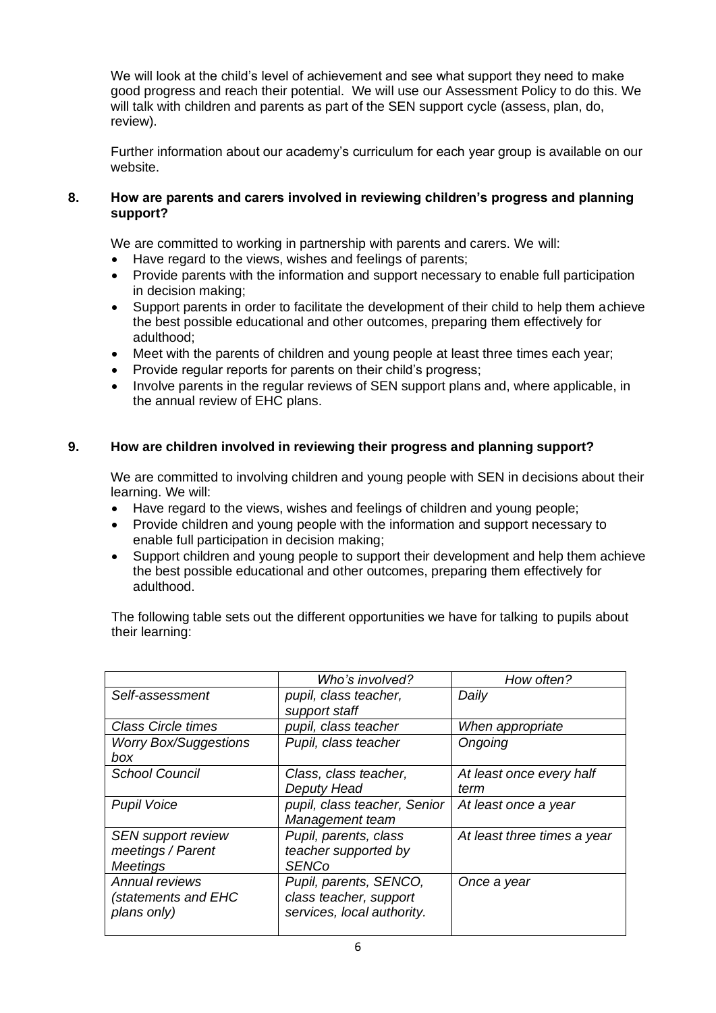We will look at the child's level of achievement and see what support they need to make good progress and reach their potential. We will use our Assessment Policy to do this. We will talk with children and parents as part of the SEN support cycle (assess, plan, do, review).

Further information about our academy's curriculum for each year group is available on our website.

#### **8. How are parents and carers involved in reviewing children's progress and planning support?**

We are committed to working in partnership with parents and carers. We will:

- Have regard to the views, wishes and feelings of parents;
- Provide parents with the information and support necessary to enable full participation in decision making;
- Support parents in order to facilitate the development of their child to help them achieve the best possible educational and other outcomes, preparing them effectively for adulthood;
- Meet with the parents of children and young people at least three times each year;
- Provide regular reports for parents on their child's progress;
- Involve parents in the regular reviews of SEN support plans and, where applicable, in the annual review of EHC plans.

# **9. How are children involved in reviewing their progress and planning support?**

We are committed to involving children and young people with SEN in decisions about their learning. We will:

- Have regard to the views, wishes and feelings of children and young people;
- Provide children and young people with the information and support necessary to enable full participation in decision making;
- Support children and young people to support their development and help them achieve the best possible educational and other outcomes, preparing them effectively for adulthood.

The following table sets out the different opportunities we have for talking to pupils about their learning:

|                              | Who's involved?              | How often?                  |
|------------------------------|------------------------------|-----------------------------|
| Self-assessment              | pupil, class teacher,        | Daily                       |
|                              | support staff                |                             |
| <b>Class Circle times</b>    | pupil, class teacher         | When appropriate            |
| <b>Worry Box/Suggestions</b> | Pupil, class teacher         | Ongoing                     |
| box                          |                              |                             |
| <b>School Council</b>        | Class, class teacher,        | At least once every half    |
|                              | Deputy Head                  | term                        |
| <b>Pupil Voice</b>           | pupil, class teacher, Senior | At least once a year        |
|                              | Management team              |                             |
| <b>SEN support review</b>    | Pupil, parents, class        | At least three times a year |
| meetings / Parent            | teacher supported by         |                             |
| <b>Meetings</b>              | <b>SENCo</b>                 |                             |
| Annual reviews               | Pupil, parents, SENCO,       | Once a year                 |
| (statements and EHC          | class teacher, support       |                             |
| plans only)                  | services, local authority.   |                             |
|                              |                              |                             |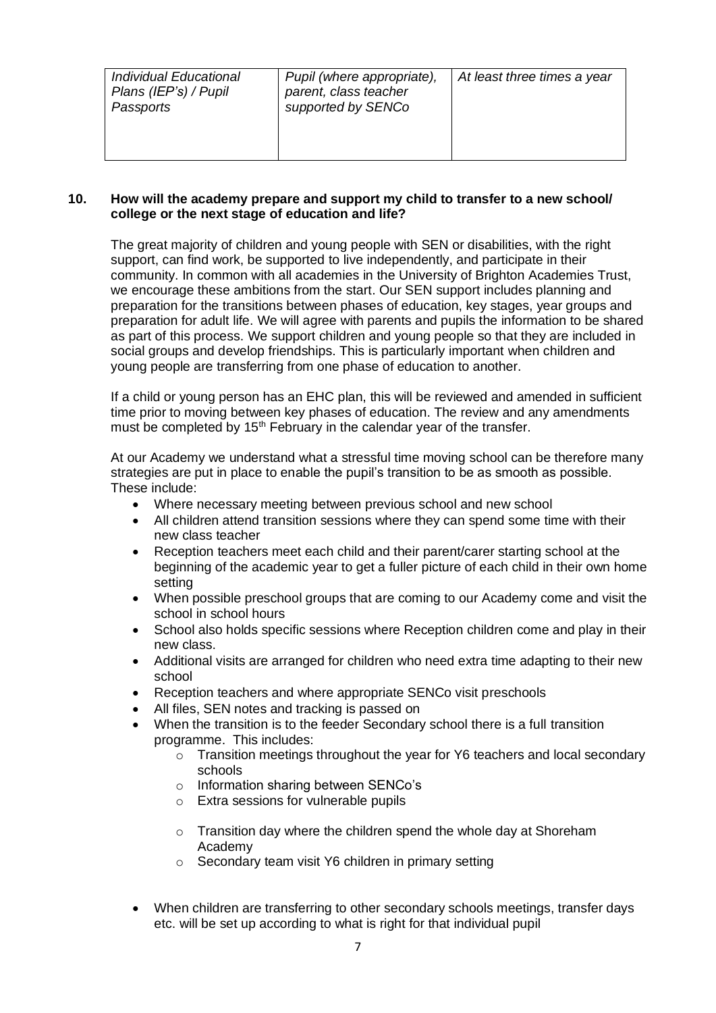| Individual Educational<br>Plans (IEP's) / Pupil<br>Passports | Pupil (where appropriate),<br>parent, class teacher<br>supported by SENCo | At least three times a year |
|--------------------------------------------------------------|---------------------------------------------------------------------------|-----------------------------|
|--------------------------------------------------------------|---------------------------------------------------------------------------|-----------------------------|

#### **10. How will the academy prepare and support my child to transfer to a new school/ college or the next stage of education and life?**

The great majority of children and young people with SEN or disabilities, with the right support, can find work, be supported to live independently, and participate in their community. In common with all academies in the University of Brighton Academies Trust, we encourage these ambitions from the start. Our SEN support includes planning and preparation for the transitions between phases of education, key stages, year groups and preparation for adult life. We will agree with parents and pupils the information to be shared as part of this process. We support children and young people so that they are included in social groups and develop friendships. This is particularly important when children and young people are transferring from one phase of education to another.

If a child or young person has an EHC plan, this will be reviewed and amended in sufficient time prior to moving between key phases of education. The review and any amendments must be completed by 15<sup>th</sup> February in the calendar year of the transfer.

At our Academy we understand what a stressful time moving school can be therefore many strategies are put in place to enable the pupil's transition to be as smooth as possible. These include:

- Where necessary meeting between previous school and new school
- All children attend transition sessions where they can spend some time with their new class teacher
- Reception teachers meet each child and their parent/carer starting school at the beginning of the academic year to get a fuller picture of each child in their own home setting
- When possible preschool groups that are coming to our Academy come and visit the school in school hours
- School also holds specific sessions where Reception children come and play in their new class.
- Additional visits are arranged for children who need extra time adapting to their new school
- Reception teachers and where appropriate SENCo visit preschools
- All files, SEN notes and tracking is passed on
- When the transition is to the feeder Secondary school there is a full transition programme. This includes:
	- o Transition meetings throughout the year for Y6 teachers and local secondary schools
	- o Information sharing between SENCo's
	- o Extra sessions for vulnerable pupils
	- $\circ$  Transition day where the children spend the whole day at Shoreham Academy
	- o Secondary team visit Y6 children in primary setting
- When children are transferring to other secondary schools meetings, transfer days etc. will be set up according to what is right for that individual pupil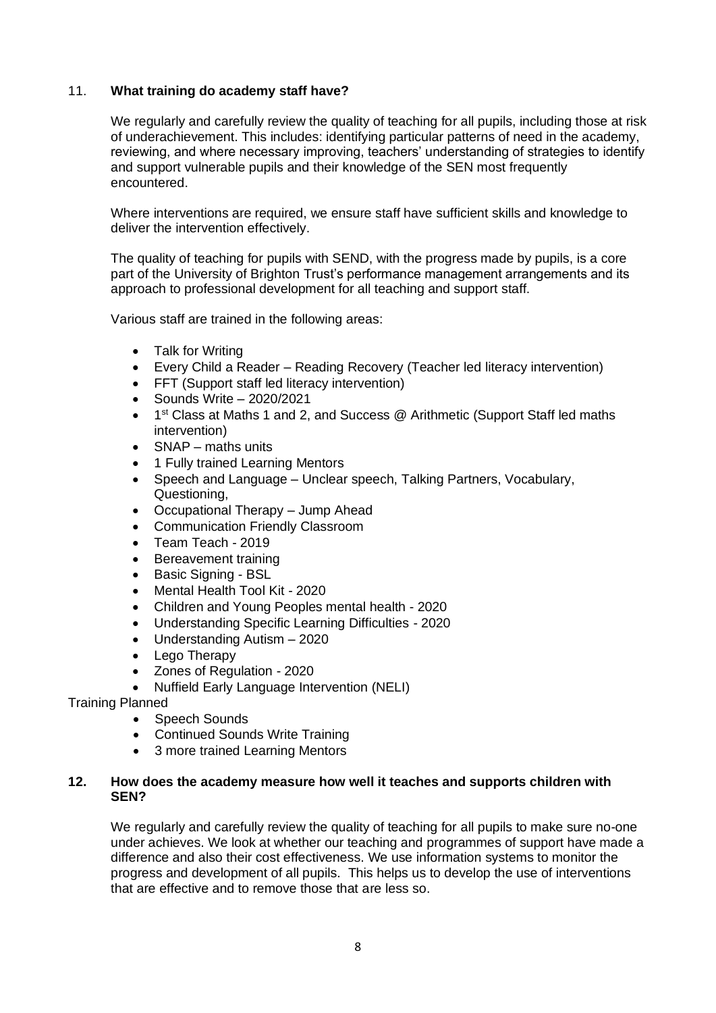#### 11. **What training do academy staff have?**

We regularly and carefully review the quality of teaching for all pupils, including those at risk of underachievement. This includes: identifying particular patterns of need in the academy, reviewing, and where necessary improving, teachers' understanding of strategies to identify and support vulnerable pupils and their knowledge of the SEN most frequently encountered.

Where interventions are required, we ensure staff have sufficient skills and knowledge to deliver the intervention effectively.

The quality of teaching for pupils with SEND, with the progress made by pupils, is a core part of the University of Brighton Trust's performance management arrangements and its approach to professional development for all teaching and support staff.

Various staff are trained in the following areas:

- Talk for Writing
- Every Child a Reader Reading Recovery (Teacher led literacy intervention)
- FFT (Support staff led literacy intervention)
- Sounds Write 2020/2021
- 1<sup>st</sup> Class at Maths 1 and 2, and Success @ Arithmetic (Support Staff led maths intervention)
- SNAP maths units
- 1 Fully trained Learning Mentors
- Speech and Language Unclear speech, Talking Partners, Vocabulary, Questioning,
- Occupational Therapy Jump Ahead
- Communication Friendly Classroom
- Team Teach 2019
- Bereavement training
- Basic Signing BSL
- Mental Health Tool Kit 2020
- Children and Young Peoples mental health 2020
- Understanding Specific Learning Difficulties 2020
- Understanding Autism 2020
- Lego Therapy
- Zones of Regulation 2020
- Nuffield Early Language Intervention (NELI)

Training Planned

- Speech Sounds
- Continued Sounds Write Training
- 3 more trained Learning Mentors

#### **12. How does the academy measure how well it teaches and supports children with SEN?**

We regularly and carefully review the quality of teaching for all pupils to make sure no-one under achieves. We look at whether our teaching and programmes of support have made a difference and also their cost effectiveness. We use information systems to monitor the progress and development of all pupils. This helps us to develop the use of interventions that are effective and to remove those that are less so.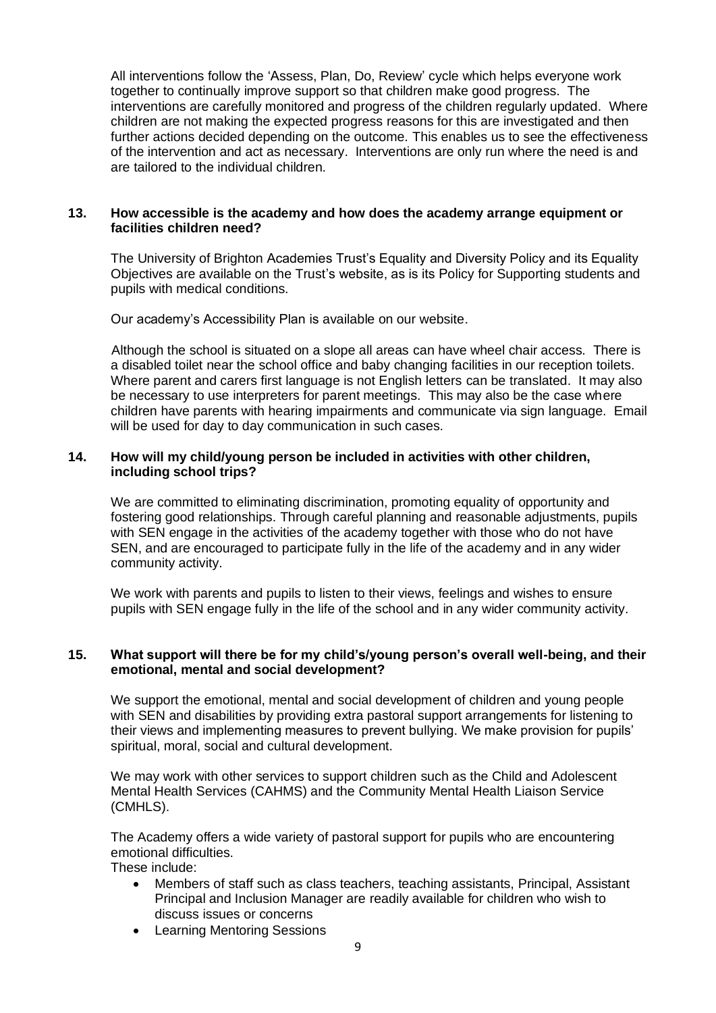All interventions follow the 'Assess, Plan, Do, Review' cycle which helps everyone work together to continually improve support so that children make good progress. The interventions are carefully monitored and progress of the children regularly updated. Where children are not making the expected progress reasons for this are investigated and then further actions decided depending on the outcome. This enables us to see the effectiveness of the intervention and act as necessary. Interventions are only run where the need is and are tailored to the individual children.

#### **13. How accessible is the academy and how does the academy arrange equipment or facilities children need?**

The University of Brighton Academies Trust's Equality and Diversity Policy and its Equality Objectives are available on the Trust's website, as is its Policy for Supporting students and pupils with medical conditions.

Our academy's Accessibility Plan is available on our website.

Although the school is situated on a slope all areas can have wheel chair access. There is a disabled toilet near the school office and baby changing facilities in our reception toilets. Where parent and carers first language is not English letters can be translated. It may also be necessary to use interpreters for parent meetings. This may also be the case where children have parents with hearing impairments and communicate via sign language. Email will be used for day to day communication in such cases.

#### **14. How will my child/young person be included in activities with other children, including school trips?**

We are committed to eliminating discrimination, promoting equality of opportunity and fostering good relationships. Through careful planning and reasonable adjustments, pupils with SEN engage in the activities of the academy together with those who do not have SEN, and are encouraged to participate fully in the life of the academy and in any wider community activity.

We work with parents and pupils to listen to their views, feelings and wishes to ensure pupils with SEN engage fully in the life of the school and in any wider community activity.

#### **15. What support will there be for my child's/young person's overall well-being, and their emotional, mental and social development?**

We support the emotional, mental and social development of children and young people with SEN and disabilities by providing extra pastoral support arrangements for listening to their views and implementing measures to prevent bullying. We make provision for pupils' spiritual, moral, social and cultural development.

We may work with other services to support children such as the Child and Adolescent Mental Health Services (CAHMS) and the Community Mental Health Liaison Service (CMHLS).

The Academy offers a wide variety of pastoral support for pupils who are encountering emotional difficulties.

These include:

- Members of staff such as class teachers, teaching assistants, Principal, Assistant Principal and Inclusion Manager are readily available for children who wish to discuss issues or concerns
- Learning Mentoring Sessions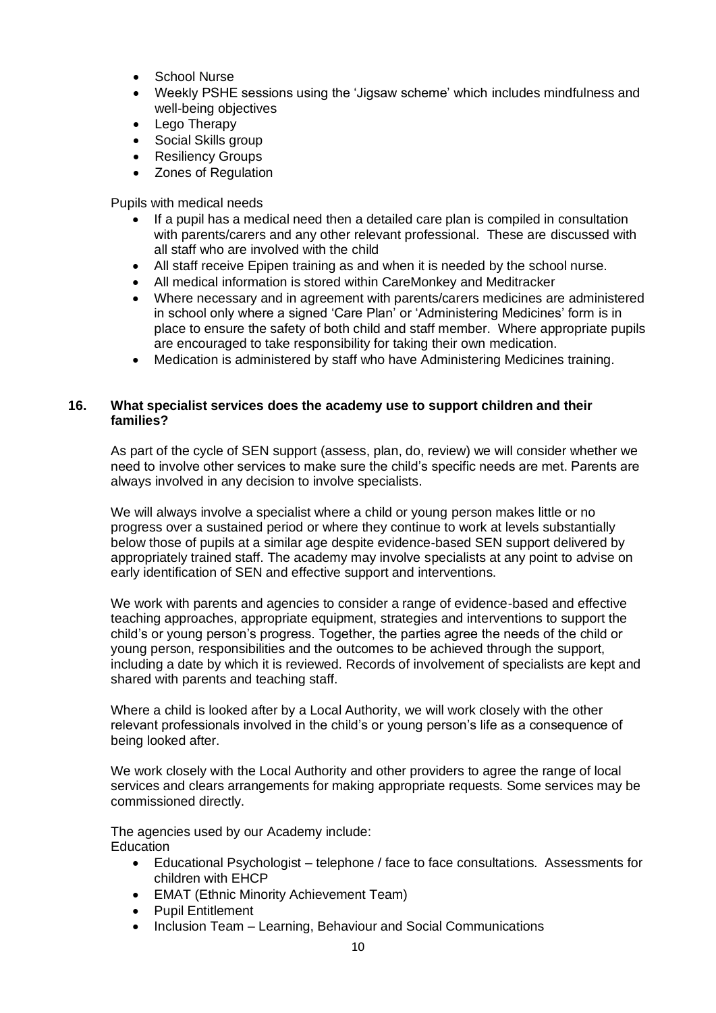- School Nurse
- Weekly PSHE sessions using the 'Jigsaw scheme' which includes mindfulness and well-being objectives
- Lego Therapy
- Social Skills group
- **Resiliency Groups**
- Zones of Regulation

Pupils with medical needs

- If a pupil has a medical need then a detailed care plan is compiled in consultation with parents/carers and any other relevant professional. These are discussed with all staff who are involved with the child
- All staff receive Epipen training as and when it is needed by the school nurse.
- All medical information is stored within CareMonkey and Meditracker
- Where necessary and in agreement with parents/carers medicines are administered in school only where a signed 'Care Plan' or 'Administering Medicines' form is in place to ensure the safety of both child and staff member. Where appropriate pupils are encouraged to take responsibility for taking their own medication.
- Medication is administered by staff who have Administering Medicines training.

#### **16. What specialist services does the academy use to support children and their families?**

As part of the cycle of SEN support (assess, plan, do, review) we will consider whether we need to involve other services to make sure the child's specific needs are met. Parents are always involved in any decision to involve specialists.

We will always involve a specialist where a child or young person makes little or no progress over a sustained period or where they continue to work at levels substantially below those of pupils at a similar age despite evidence-based SEN support delivered by appropriately trained staff. The academy may involve specialists at any point to advise on early identification of SEN and effective support and interventions.

We work with parents and agencies to consider a range of evidence-based and effective teaching approaches, appropriate equipment, strategies and interventions to support the child's or young person's progress. Together, the parties agree the needs of the child or young person, responsibilities and the outcomes to be achieved through the support, including a date by which it is reviewed. Records of involvement of specialists are kept and shared with parents and teaching staff.

Where a child is looked after by a Local Authority, we will work closely with the other relevant professionals involved in the child's or young person's life as a consequence of being looked after.

We work closely with the Local Authority and other providers to agree the range of local services and clears arrangements for making appropriate requests. Some services may be commissioned directly.

The agencies used by our Academy include: **Education** 

- Educational Psychologist telephone / face to face consultations. Assessments for children with EHCP
- EMAT (Ethnic Minority Achievement Team)
- Pupil Entitlement
- Inclusion Team Learning, Behaviour and Social Communications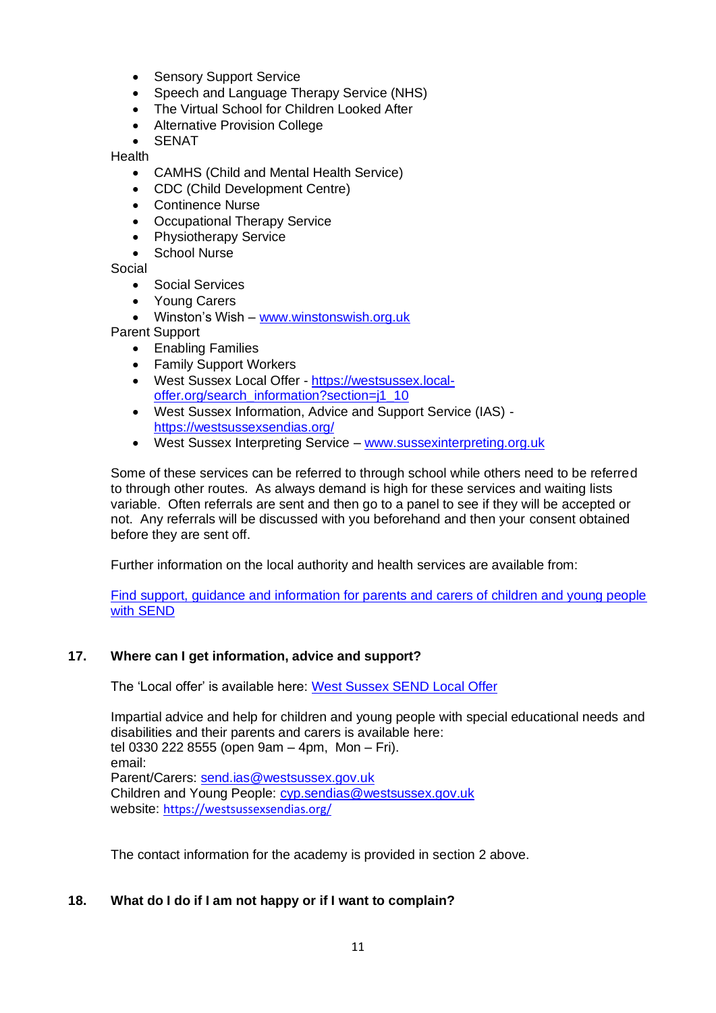- Sensory Support Service
- Speech and Language Therapy Service (NHS)
- The Virtual School for Children Looked After
- Alternative Provision College

**SENAT** 

**Health** 

- CAMHS (Child and Mental Health Service)
- CDC (Child Development Centre)
- Continence Nurse
- Occupational Therapy Service
- Physiotherapy Service
- School Nurse

Social

- Social Services
- Young Carers
- Winston's Wish [www.winstonswish.org.uk](http://www.winstonswish.org.uk/)
- Parent Support
	- Enabling Families
	- Family Support Workers
	- West Sussex Local Offer [https://westsussex.local](https://westsussex.local-offer.org/search_information?section=j1_10)[offer.org/search\\_information?section=j1\\_10](https://westsussex.local-offer.org/search_information?section=j1_10)
	- West Sussex Information, Advice and Support Service (IAS) <https://westsussexsendias.org/>
	- West Sussex Interpreting Service [www.sussexinterpreting.org.uk](http://www.sussexinterpreting.org.uk/)

Some of these services can be referred to through school while others need to be referred to through other routes. As always demand is high for these services and waiting lists variable. Often referrals are sent and then go to a panel to see if they will be accepted or not. Any referrals will be discussed with you beforehand and then your consent obtained before they are sent off.

Further information on the local authority and health services are available from:

[Find support, guidance and information for parents and carers of children and young people](https://www.westsussex.gov.uk/education-children-and-families/special-educational-needs-and-disability-send/)  [with SEND](https://www.westsussex.gov.uk/education-children-and-families/special-educational-needs-and-disability-send/)

# **17. Where can I get information, advice and support?**

The 'Local offer' is available here: [West Sussex SEND Local Offer](https://www.westsussex.gov.uk/education-children-and-families/special-educational-needs-and-disability-send/send-local-offer/)

Impartial advice and help for children and young people with special educational needs and disabilities and their parents and carers is available here: tel 0330 222 8555 (open 9am – 4pm, Mon – Fri). email: Parent/Carers: [send.ias@westsussex.gov.uk](mailto:send.ias@westsussex.gov.uk) Children and Young People: [cyp.sendias@westsussex.gov.uk](mailto:cyp.sendias@westsussex.gov.uk) website: <https://westsussexsendias.org/>

The contact information for the academy is provided in section 2 above.

# **18. What do I do if I am not happy or if I want to complain?**